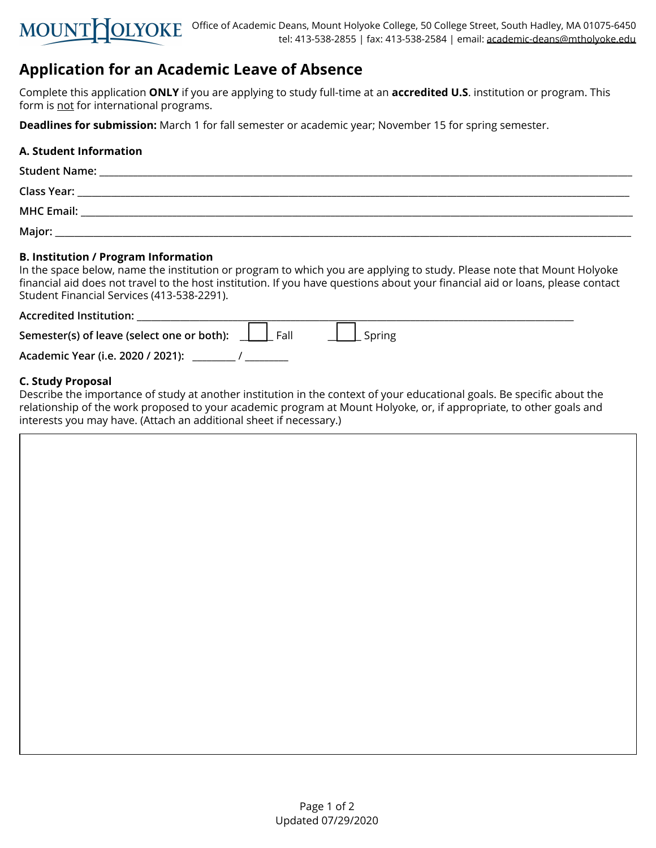

# **Application for an Academic Leave of Absence**

Complete this application **ONLY** if you are applying to study full-time at an **accredited U.S**. institution or program. This form is not for international programs.

**Deadlines for submission:** March 1 for fall semester or academic year; November 15 for spring semester.

# **A. Student Information**

| <b>Student Name:</b> |  |
|----------------------|--|
| Class Year:          |  |
| <b>MHC Email:</b>    |  |
| Major:               |  |

# **B. Institution / Program Information**

In the space below, name the institution or program to which you are applying to study. Please note that Mount Holyoke financial aid does not travel to the host institution. If you have questions about your financial aid or loans, please contact Student Financial Services (413-538-2291).

### **Accredited Institution:** \_\_\_\_\_\_\_\_\_\_\_\_\_\_\_\_\_\_\_\_\_\_\_\_\_\_\_\_\_\_\_\_\_\_\_\_\_\_\_\_\_\_\_\_\_\_\_\_\_\_\_\_\_\_\_\_\_\_\_\_\_\_\_\_\_\_\_\_\_\_\_\_\_\_\_\_\_\_\_\_\_\_\_\_\_\_\_\_\_\_\_

| Semester(s) of leave (select one or both): | Fall | $\int$ Spring |
|--------------------------------------------|------|---------------|
| Academic Year (i.e. 2020 / 2021):          |      |               |

# **C. Study Proposal**

Describe the importance of study at another institution in the context of your educational goals. Be specific about the relationship of the work proposed to your academic program at Mount Holyoke, or, if appropriate, to other goals and interests you may have. (Attach an additional sheet if necessary.)